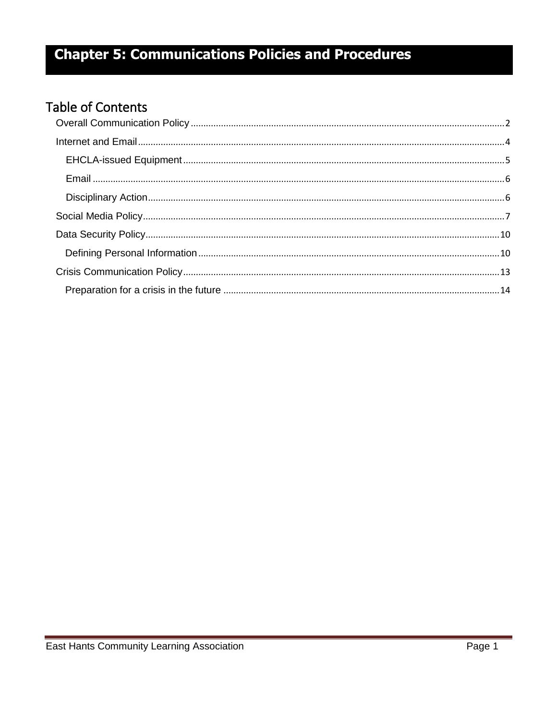### **Table of Contents**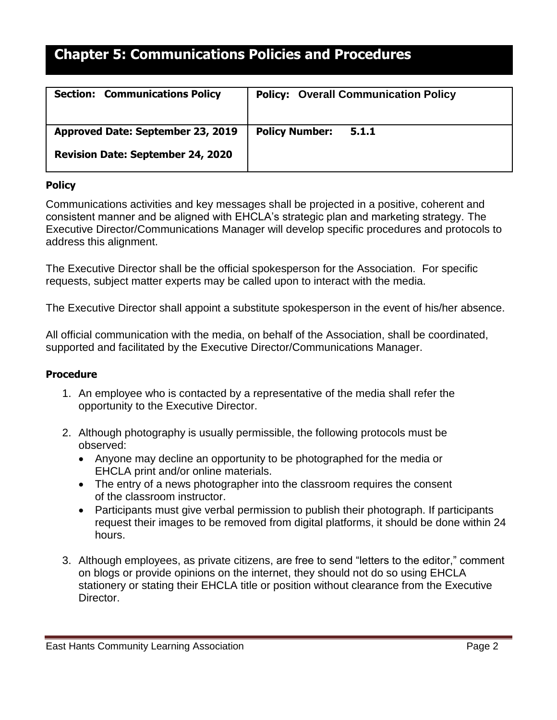| <b>Section: Communications Policy</b>    | <b>Policy: Overall Communication Policy</b> |
|------------------------------------------|---------------------------------------------|
| Approved Date: September 23, 2019        | <b>Policy Number:</b><br>5.1.1              |
| <b>Revision Date: September 24, 2020</b> |                                             |

### <span id="page-1-0"></span>**Policy**

Communications activities and key messages shall be projected in a positive, coherent and consistent manner and be aligned with EHCLA's strategic plan and marketing strategy. The Executive Director/Communications Manager will develop specific procedures and protocols to address this alignment.

The Executive Director shall be the official spokesperson for the Association. For specific requests, subject matter experts may be called upon to interact with the media.

The Executive Director shall appoint a substitute spokesperson in the event of his/her absence.

All official communication with the media, on behalf of the Association, shall be coordinated, supported and facilitated by the Executive Director/Communications Manager.

#### **Procedure**

- 1. An employee who is contacted by a representative of the media shall refer the opportunity to the Executive Director.
- 2. Although photography is usually permissible, the following protocols must be observed:
	- Anyone may decline an opportunity to be photographed for the media or EHCLA print and/or online materials.
	- The entry of a news photographer into the classroom requires the consent of the classroom instructor.
	- Participants must give verbal permission to publish their photograph. If participants request their images to be removed from digital platforms, it should be done within 24 hours.
- 3. Although employees, as private citizens, are free to send "letters to the editor," comment on blogs or provide opinions on the internet, they should not do so using EHCLA stationery or stating their EHCLA title or position without clearance from the Executive Director.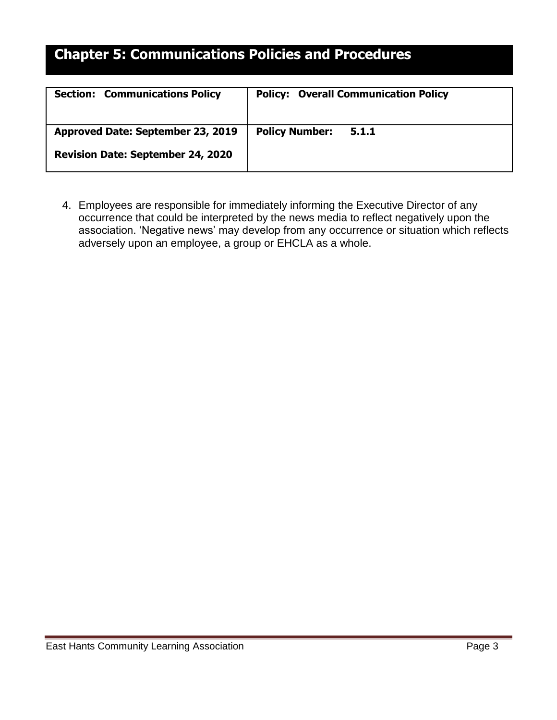| <b>Section: Communications Policy</b>    | <b>Policy: Overall Communication Policy</b> |
|------------------------------------------|---------------------------------------------|
| Approved Date: September 23, 2019        | <b>Policy Number:</b><br>5.1.1              |
| <b>Revision Date: September 24, 2020</b> |                                             |

4. Employees are responsible for immediately informing the Executive Director of any occurrence that could be interpreted by the news media to reflect negatively upon the association. 'Negative news' may develop from any occurrence or situation which reflects adversely upon an employee, a group or EHCLA as a whole.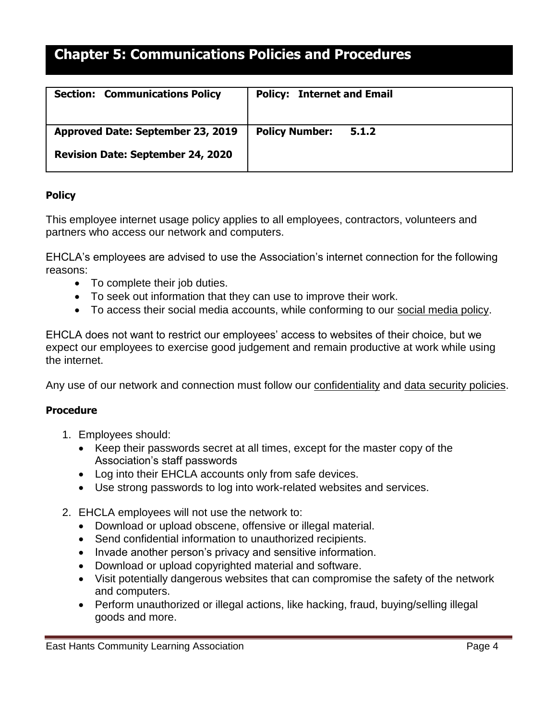| <b>Section: Communications Policy</b>    | <b>Policy: Internet and Email</b> |
|------------------------------------------|-----------------------------------|
| Approved Date: September 23, 2019        | <b>Policy Number:</b><br>5.1.2    |
| <b>Revision Date: September 24, 2020</b> |                                   |

### <span id="page-3-0"></span>**Policy**

This employee internet usage policy applies to all employees, contractors, volunteers and partners who access our network and computers.

EHCLA's employees are advised to use the Association's internet connection for the following reasons:

- To complete their job duties.
- To seek out information that they can use to improve their work.
- To access their social media accounts, while conforming to our [social media policy.](https://resources.workable.com/social-media-company-policy)

EHCLA does not want to restrict our employees' access to websites of their choice, but we expect our employees to exercise good judgement and remain productive at work while using the internet.

Any use of our network and connection must follow our [confidentiality](https://resources.workable.com/confidentiality-company-policy) and data security policies.

### **Procedure**

- 1. Employees should:
	- Keep their passwords secret at all times, except for the master copy of the Association's staff passwords
	- Log into their EHCLA accounts only from safe devices.
	- Use strong passwords to log into work-related websites and services.
- 2. EHCLA employees will not use the network to:
	- Download or upload obscene, offensive or illegal material.
	- Send confidential information to unauthorized recipients.
	- Invade another person's privacy and sensitive information.
	- Download or upload copyrighted material and software.
	- Visit potentially dangerous websites that can compromise the safety of the network and computers.
	- Perform unauthorized or illegal actions, like hacking, fraud, buying/selling illegal goods and more.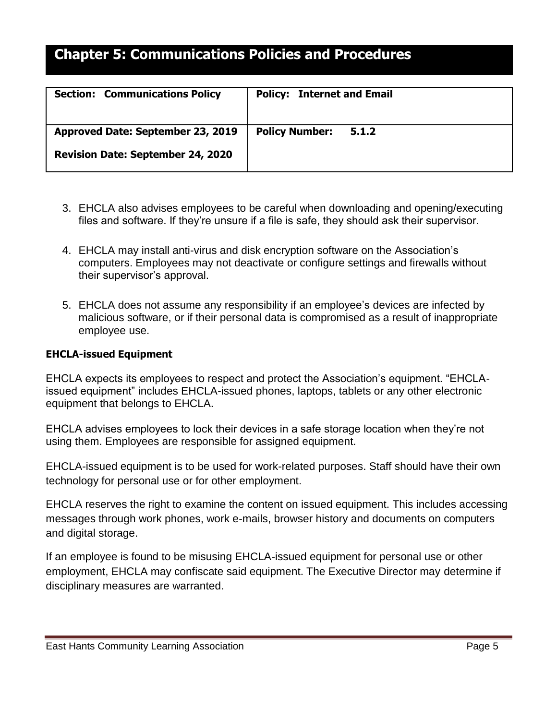| <b>Section: Communications Policy</b>    | <b>Policy: Internet and Email</b> |
|------------------------------------------|-----------------------------------|
| Approved Date: September 23, 2019        | <b>Policy Number:</b><br>5.1.2    |
| <b>Revision Date: September 24, 2020</b> |                                   |

- 3. EHCLA also advises employees to be careful when downloading and opening/executing files and software. If they're unsure if a file is safe, they should ask their supervisor.
- 4. EHCLA may install anti-virus and disk encryption software on the Association's computers. Employees may not deactivate or configure settings and firewalls without their supervisor's approval.
- 5. EHCLA does not assume any responsibility if an employee's devices are infected by malicious software, or if their personal data is compromised as a result of inappropriate employee use.

#### <span id="page-4-0"></span>**EHCLA-issued Equipment**

EHCLA expects its employees to respect and protect the Association's equipment. "EHCLAissued equipment" includes EHCLA-issued phones, laptops, tablets or any other electronic equipment that belongs to EHCLA.

EHCLA advises employees to lock their devices in a safe storage location when they're not using them. Employees are responsible for assigned equipment.

EHCLA-issued equipment is to be used for work-related purposes. Staff should have their own technology for personal use or for other employment.

EHCLA reserves the right to examine the content on issued equipment. This includes accessing messages through work phones, work e-mails, browser history and documents on computers and digital storage.

If an employee is found to be misusing EHCLA-issued equipment for personal use or other employment, EHCLA may confiscate said equipment. The Executive Director may determine if disciplinary measures are warranted.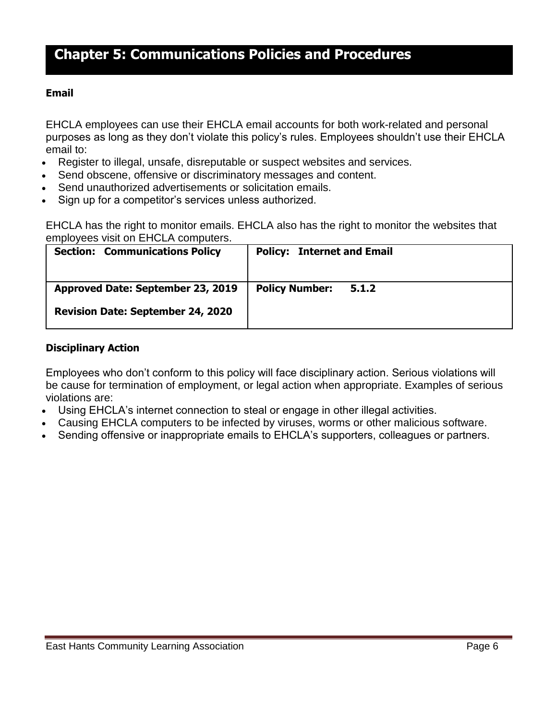#### <span id="page-5-0"></span>**Email**

EHCLA employees can use their [EHCLA email accounts](https://resources.workable.com/email-usage-policy-template) for both work-related and personal purposes as long as they don't violate this policy's rules. Employees shouldn't use their EHCLA email to:

- Register to illegal, unsafe, disreputable or suspect websites and services.
- Send obscene, offensive or discriminatory messages and content.
- Send unauthorized advertisements or solicitation emails.
- Sign up for a competitor's services unless authorized.

EHCLA has the right to monitor emails. EHCLA also has the right to monitor the websites that employees visit on EHCLA computers.

| <b>Section: Communications Policy</b>    | <b>Policy: Internet and Email</b> |
|------------------------------------------|-----------------------------------|
| Approved Date: September 23, 2019        | <b>Policy Number:</b><br>5.1.2    |
| <b>Revision Date: September 24, 2020</b> |                                   |

#### <span id="page-5-1"></span>**Disciplinary Action**

Employees who don't conform to this policy will face disciplinary action. Serious violations will be cause for termination of employment, or legal action when appropriate. Examples of serious violations are:

- Using EHCLA's internet connection to steal or engage in other illegal activities.
- Causing EHCLA computers to be infected by viruses, worms or other malicious software.
- Sending offensive or inappropriate emails to EHCLA's supporters, colleagues or partners.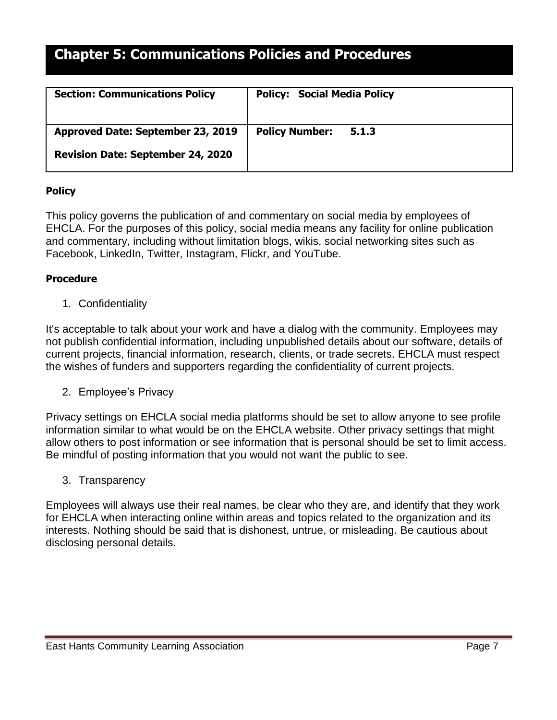| <b>Section: Communications Policy</b>    | <b>Policy: Social Media Policy</b> |
|------------------------------------------|------------------------------------|
| Approved Date: September 23, 2019        | <b>Policy Number:</b><br>5.1.3     |
| <b>Revision Date: September 24, 2020</b> |                                    |

### **Policy**

This policy governs the publication of and commentary on social media by employees of EHCLA. For the purposes of this policy, social media means any facility for online publication and commentary, including without limitation blogs, wikis, social networking sites such as Facebook, LinkedIn, Twitter, Instagram, Flickr, and YouTube.

### <span id="page-6-0"></span>**Procedure**

1. Confidentiality

It's acceptable to talk about your work and have a dialog with the community. Employees may not publish confidential information, including unpublished details about our software, details of current projects, financial information, research, clients, or trade secrets. EHCLA must respect the wishes of funders and supporters regarding the confidentiality of current projects.

2. Employee's Privacy

Privacy settings on EHCLA social media platforms should be set to allow anyone to see profile information similar to what would be on the EHCLA website. Other privacy settings that might allow others to post information or see information that is personal should be set to limit access. Be mindful of posting information that you would not want the public to see.

3. Transparency

Employees will always use their real names, be clear who they are, and identify that they work for EHCLA when interacting online within areas and topics related to the organization and its interests. Nothing should be said that is dishonest, untrue, or misleading. Be cautious about disclosing personal details.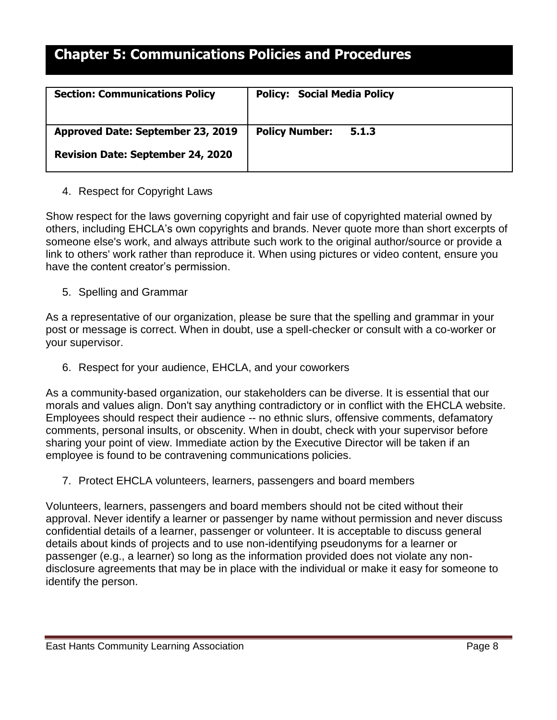| <b>Section: Communications Policy</b>    | <b>Policy: Social Media Policy</b> |
|------------------------------------------|------------------------------------|
| Approved Date: September 23, 2019        | <b>Policy Number:</b><br>5.1.3     |
| <b>Revision Date: September 24, 2020</b> |                                    |

### 4. Respect for Copyright Laws

Show respect for the laws governing copyright and fair use of copyrighted material owned by others, including EHCLA's own copyrights and brands. Never quote more than short excerpts of someone else's work, and always attribute such work to the original author/source or provide a link to others' work rather than reproduce it. When using pictures or video content, ensure you have the content creator's permission.

5. Spelling and Grammar

As a representative of our organization, please be sure that the spelling and grammar in your post or message is correct. When in doubt, use a spell-checker or consult with a co-worker or your supervisor.

6. Respect for your audience, EHCLA, and your coworkers

As a community-based organization, our stakeholders can be diverse. It is essential that our morals and values align. Don't say anything contradictory or in conflict with the EHCLA website. Employees should respect their audience -- no ethnic slurs, offensive comments, defamatory comments, personal insults, or obscenity. When in doubt, check with your supervisor before sharing your point of view. Immediate action by the Executive Director will be taken if an employee is found to be contravening communications policies.

7. Protect EHCLA volunteers, learners, passengers and board members

Volunteers, learners, passengers and board members should not be cited without their approval. Never identify a learner or passenger by name without permission and never discuss confidential details of a learner, passenger or volunteer. It is acceptable to discuss general details about kinds of projects and to use non-identifying pseudonyms for a learner or passenger (e.g., a learner) so long as the information provided does not violate any nondisclosure agreements that may be in place with the individual or make it easy for someone to identify the person.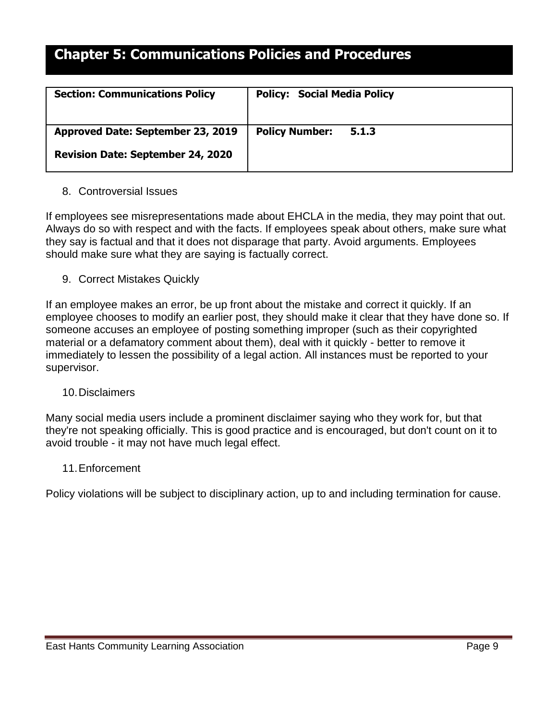| <b>Section: Communications Policy</b>    | <b>Policy: Social Media Policy</b> |
|------------------------------------------|------------------------------------|
| Approved Date: September 23, 2019        | <b>Policy Number:</b><br>5.1.3     |
| <b>Revision Date: September 24, 2020</b> |                                    |

### 8. Controversial Issues

If employees see misrepresentations made about EHCLA in the media, they may point that out. Always do so with respect and with the facts. If employees speak about others, make sure what they say is factual and that it does not disparage that party. Avoid arguments. Employees should make sure what they are saying is factually correct.

9. Correct Mistakes Quickly

If an employee makes an error, be up front about the mistake and correct it quickly. If an employee chooses to modify an earlier post, they should make it clear that they have done so. If someone accuses an employee of posting something improper (such as their copyrighted material or a defamatory comment about them), deal with it quickly - better to remove it immediately to lessen the possibility of a legal action. All instances must be reported to your supervisor.

#### 10.Disclaimers

Many social media users include a prominent disclaimer saying who they work for, but that they're not speaking officially. This is good practice and is encouraged, but don't count on it to avoid trouble - it may not have much legal effect.

#### 11.Enforcement

Policy violations will be subject to disciplinary action, up to and including termination for cause.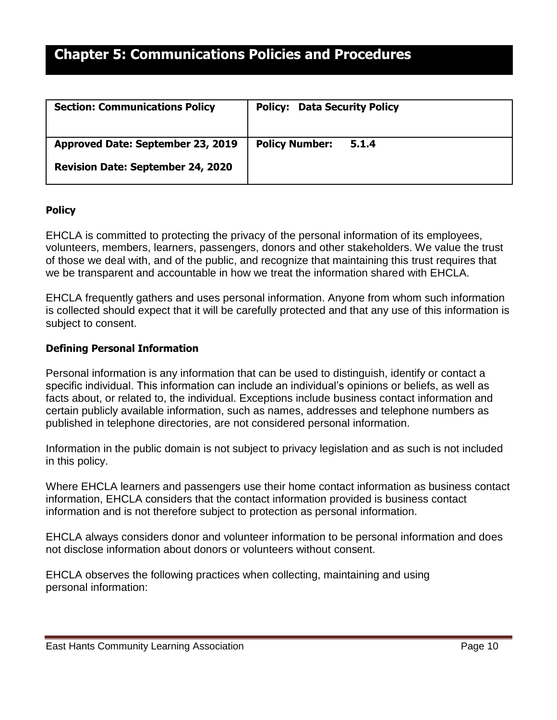| <b>Section: Communications Policy</b>    | <b>Policy: Data Security Policy</b> |
|------------------------------------------|-------------------------------------|
| Approved Date: September 23, 2019        | <b>Policy Number:</b><br>5.1.4      |
| <b>Revision Date: September 24, 2020</b> |                                     |

### <span id="page-9-0"></span>**Policy**

EHCLA is committed to protecting the privacy of the personal information of its employees, volunteers, members, learners, passengers, donors and other stakeholders. We value the trust of those we deal with, and of the public, and recognize that maintaining this trust requires that we be transparent and accountable in how we treat the information shared with EHCLA.

EHCLA frequently gathers and uses personal information. Anyone from whom such information is collected should expect that it will be carefully protected and that any use of this information is subject to consent.

#### <span id="page-9-1"></span>**Defining Personal Information**

Personal information is any information that can be used to distinguish, identify or contact a specific individual. This information can include an individual's opinions or beliefs, as well as facts about, or related to, the individual. Exceptions include business contact information and certain publicly available information, such as names, addresses and telephone numbers as published in telephone directories, are not considered personal information.

Information in the public domain is not subject to privacy legislation and as such is not included in this policy.

Where EHCLA learners and passengers use their home contact information as business contact information, EHCLA considers that the contact information provided is business contact information and is not therefore subject to protection as personal information.

EHCLA always considers donor and volunteer information to be personal information and does not disclose information about donors or volunteers without consent.

EHCLA observes the following practices when collecting, maintaining and using personal information: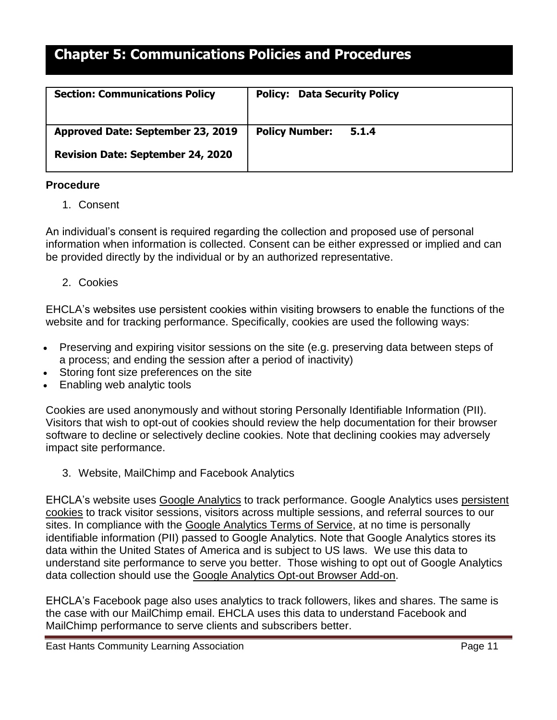| <b>Section: Communications Policy</b>    | <b>Policy: Data Security Policy</b> |
|------------------------------------------|-------------------------------------|
| Approved Date: September 23, 2019        | <b>Policy Number:</b><br>5.1.4      |
| <b>Revision Date: September 24, 2020</b> |                                     |

#### **Procedure**

1. Consent

An individual's consent is required regarding the collection and proposed use of personal information when information is collected. Consent can be either expressed or implied and can be provided directly by the individual or by an authorized representative.

2. Cookies

EHCLA's websites use persistent cookies within visiting browsers to enable the functions of the website and for tracking performance. Specifically, cookies are used the following ways:

- Preserving and expiring visitor sessions on the site (e.g. preserving data between steps of a process; and ending the session after a period of inactivity)
- Storing font size preferences on the site
- Enabling web analytic tools

Cookies are used anonymously and without storing Personally Identifiable Information (PII). Visitors that wish to opt-out of cookies should review the help documentation for their browser software to decline or selectively decline cookies. Note that declining cookies may adversely impact site performance.

3. Website, MailChimp and Facebook Analytics

EHCLA's website uses [Google Analytics](http://www.google.com/analytics/) to track performance. Google Analytics uses [persistent](https://developers.google.com/analytics/devguides/collection/analyticsjs/cookie-usage?csw=1)  [cookies](https://developers.google.com/analytics/devguides/collection/analyticsjs/cookie-usage?csw=1) to track visitor sessions, visitors across multiple sessions, and referral sources to our sites. In compliance with the [Google Analytics Terms of Service,](http://www.google.com/analytics/terms/us.html) at no time is personally identifiable information (PII) passed to Google Analytics. Note that Google Analytics stores its data within the United States of America and is subject to US laws. We use this data to understand site performance to serve you better. Those wishing to opt out of Google Analytics data collection should use the [Google Analytics Opt-out Browser Add-on.](https://tools.google.com/dlpage/gaoptout)

EHCLA's Facebook page also uses analytics to track followers, likes and shares. The same is the case with our MailChimp email. EHCLA uses this data to understand Facebook and MailChimp performance to serve clients and subscribers better.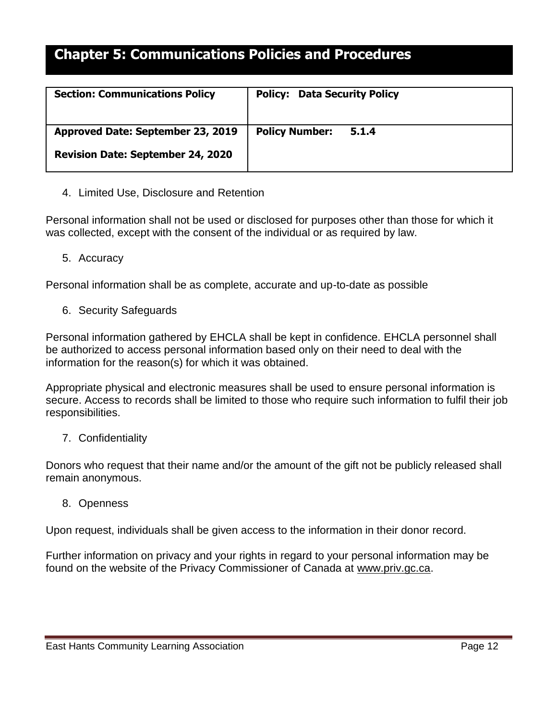| <b>Section: Communications Policy</b>    | <b>Policy: Data Security Policy</b> |
|------------------------------------------|-------------------------------------|
| Approved Date: September 23, 2019        | <b>Policy Number:</b><br>5.1.4      |
| <b>Revision Date: September 24, 2020</b> |                                     |

4. Limited Use, Disclosure and Retention

Personal information shall not be used or disclosed for purposes other than those for which it was collected, except with the consent of the individual or as required by law.

5. Accuracy

Personal information shall be as complete, accurate and up-to-date as possible

6. Security Safeguards

Personal information gathered by EHCLA shall be kept in confidence. EHCLA personnel shall be authorized to access personal information based only on their need to deal with the information for the reason(s) for which it was obtained.

Appropriate physical and electronic measures shall be used to ensure personal information is secure. Access to records shall be limited to those who require such information to fulfil their job responsibilities.

### 7. Confidentiality

Donors who request that their name and/or the amount of the gift not be publicly released shall remain anonymous.

### 8. Openness

Upon request, individuals shall be given access to the information in their donor record.

Further information on privacy and your rights in regard to your personal information may be found on the website of the Privacy Commissioner of Canada at [www.priv.gc.ca.](http://www.priv.gc.ca/)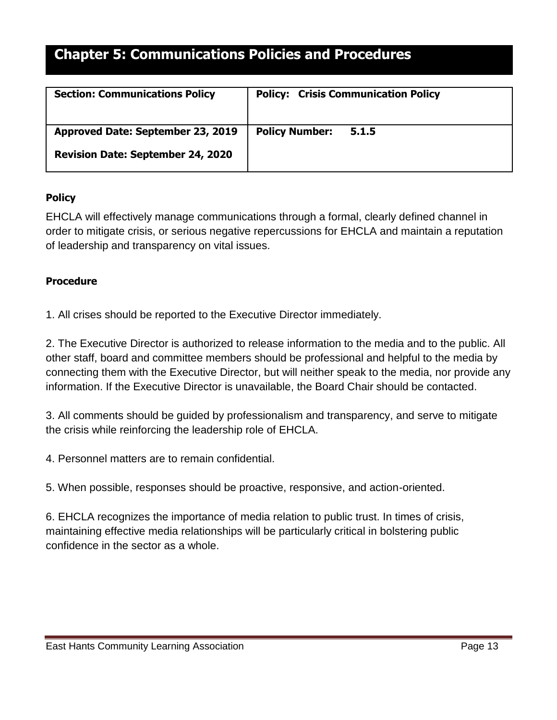| <b>Section: Communications Policy</b>    | <b>Policy: Crisis Communication Policy</b> |
|------------------------------------------|--------------------------------------------|
| Approved Date: September 23, 2019        | <b>Policy Number:</b><br>5.1.5             |
| <b>Revision Date: September 24, 2020</b> |                                            |

### <span id="page-12-0"></span>**Policy**

EHCLA will effectively manage communications through a formal, clearly defined channel in order to mitigate crisis, or serious negative repercussions for EHCLA and maintain a reputation of leadership and transparency on vital issues.

### **Procedure**

1. All crises should be reported to the Executive Director immediately.

2. The Executive Director is authorized to release information to the media and to the public. All other staff, board and committee members should be professional and helpful to the media by connecting them with the Executive Director, but will neither speak to the media, nor provide any information. If the Executive Director is unavailable, the Board Chair should be contacted.

3. All comments should be guided by professionalism and transparency, and serve to mitigate the crisis while reinforcing the leadership role of EHCLA.

4. Personnel matters are to remain confidential.

5. When possible, responses should be proactive, responsive, and action-oriented.

6. EHCLA recognizes the importance of media relation to public trust. In times of crisis, maintaining effective media relationships will be particularly critical in bolstering public confidence in the sector as a whole.